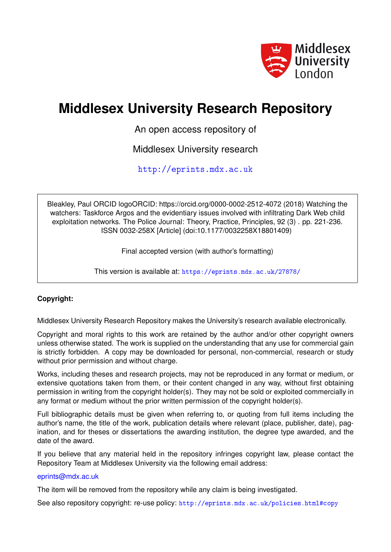

# **Middlesex University Research Repository**

An open access repository of

Middlesex University research

<http://eprints.mdx.ac.uk>

Bleakley, Paul ORCID logoORCID: https://orcid.org/0000-0002-2512-4072 (2018) Watching the watchers: Taskforce Argos and the evidentiary issues involved with infiltrating Dark Web child exploitation networks. The Police Journal: Theory, Practice, Principles, 92 (3) . pp. 221-236. ISSN 0032-258X [Article] (doi:10.1177/0032258X18801409)

Final accepted version (with author's formatting)

This version is available at: <https://eprints.mdx.ac.uk/27878/>

#### **Copyright:**

Middlesex University Research Repository makes the University's research available electronically.

Copyright and moral rights to this work are retained by the author and/or other copyright owners unless otherwise stated. The work is supplied on the understanding that any use for commercial gain is strictly forbidden. A copy may be downloaded for personal, non-commercial, research or study without prior permission and without charge.

Works, including theses and research projects, may not be reproduced in any format or medium, or extensive quotations taken from them, or their content changed in any way, without first obtaining permission in writing from the copyright holder(s). They may not be sold or exploited commercially in any format or medium without the prior written permission of the copyright holder(s).

Full bibliographic details must be given when referring to, or quoting from full items including the author's name, the title of the work, publication details where relevant (place, publisher, date), pagination, and for theses or dissertations the awarding institution, the degree type awarded, and the date of the award.

If you believe that any material held in the repository infringes copyright law, please contact the Repository Team at Middlesex University via the following email address:

#### [eprints@mdx.ac.uk](mailto:eprints@mdx.ac.uk)

The item will be removed from the repository while any claim is being investigated.

See also repository copyright: re-use policy: <http://eprints.mdx.ac.uk/policies.html#copy>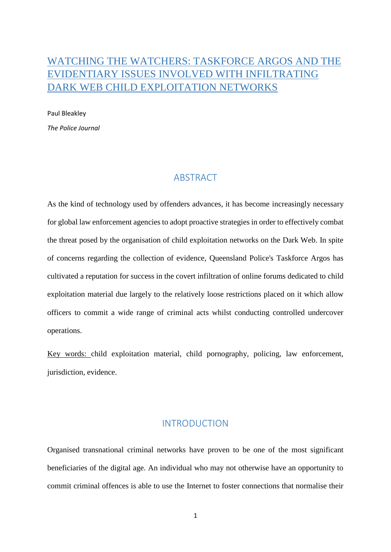# WATCHING THE WATCHERS: TASKFORCE ARGOS AND THE EVIDENTIARY ISSUES INVOLVED WITH INFILTRATING DARK WEB CHILD EXPLOITATION NETWORKS

Paul Bleakley *The Police Journal*

# ABSTRACT

As the kind of technology used by offenders advances, it has become increasingly necessary for global law enforcement agencies to adopt proactive strategies in order to effectively combat the threat posed by the organisation of child exploitation networks on the Dark Web. In spite of concerns regarding the collection of evidence, Queensland Police's Taskforce Argos has cultivated a reputation for success in the covert infiltration of online forums dedicated to child exploitation material due largely to the relatively loose restrictions placed on it which allow officers to commit a wide range of criminal acts whilst conducting controlled undercover operations.

Key words: child exploitation material, child pornography, policing, law enforcement, jurisdiction, evidence.

#### INTRODUCTION

Organised transnational criminal networks have proven to be one of the most significant beneficiaries of the digital age. An individual who may not otherwise have an opportunity to commit criminal offences is able to use the Internet to foster connections that normalise their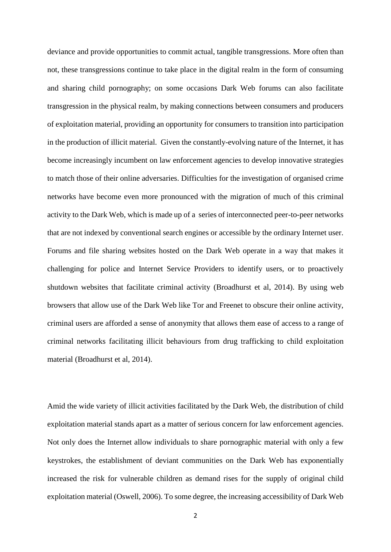deviance and provide opportunities to commit actual, tangible transgressions. More often than not, these transgressions continue to take place in the digital realm in the form of consuming and sharing child pornography; on some occasions Dark Web forums can also facilitate transgression in the physical realm, by making connections between consumers and producers of exploitation material, providing an opportunity for consumers to transition into participation in the production of illicit material. Given the constantly-evolving nature of the Internet, it has become increasingly incumbent on law enforcement agencies to develop innovative strategies to match those of their online adversaries. Difficulties for the investigation of organised crime networks have become even more pronounced with the migration of much of this criminal activity to the Dark Web, which is made up of a series of interconnected peer-to-peer networks that are not indexed by conventional search engines or accessible by the ordinary Internet user. Forums and file sharing websites hosted on the Dark Web operate in a way that makes it challenging for police and Internet Service Providers to identify users, or to proactively shutdown websites that facilitate criminal activity (Broadhurst et al, 2014). By using web browsers that allow use of the Dark Web like Tor and Freenet to obscure their online activity, criminal users are afforded a sense of anonymity that allows them ease of access to a range of criminal networks facilitating illicit behaviours from drug trafficking to child exploitation material (Broadhurst et al, 2014).

Amid the wide variety of illicit activities facilitated by the Dark Web, the distribution of child exploitation material stands apart as a matter of serious concern for law enforcement agencies. Not only does the Internet allow individuals to share pornographic material with only a few keystrokes, the establishment of deviant communities on the Dark Web has exponentially increased the risk for vulnerable children as demand rises for the supply of original child exploitation material (Oswell, 2006). To some degree, the increasing accessibility of Dark Web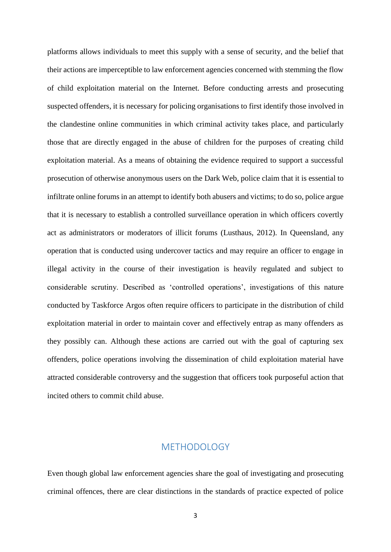platforms allows individuals to meet this supply with a sense of security, and the belief that their actions are imperceptible to law enforcement agencies concerned with stemming the flow of child exploitation material on the Internet. Before conducting arrests and prosecuting suspected offenders, it is necessary for policing organisations to first identify those involved in the clandestine online communities in which criminal activity takes place, and particularly those that are directly engaged in the abuse of children for the purposes of creating child exploitation material. As a means of obtaining the evidence required to support a successful prosecution of otherwise anonymous users on the Dark Web, police claim that it is essential to infiltrate online forums in an attempt to identify both abusers and victims; to do so, police argue that it is necessary to establish a controlled surveillance operation in which officers covertly act as administrators or moderators of illicit forums (Lusthaus, 2012). In Queensland, any operation that is conducted using undercover tactics and may require an officer to engage in illegal activity in the course of their investigation is heavily regulated and subject to considerable scrutiny. Described as 'controlled operations', investigations of this nature conducted by Taskforce Argos often require officers to participate in the distribution of child exploitation material in order to maintain cover and effectively entrap as many offenders as they possibly can. Although these actions are carried out with the goal of capturing sex offenders, police operations involving the dissemination of child exploitation material have attracted considerable controversy and the suggestion that officers took purposeful action that incited others to commit child abuse.

# METHODOLOGY

Even though global law enforcement agencies share the goal of investigating and prosecuting criminal offences, there are clear distinctions in the standards of practice expected of police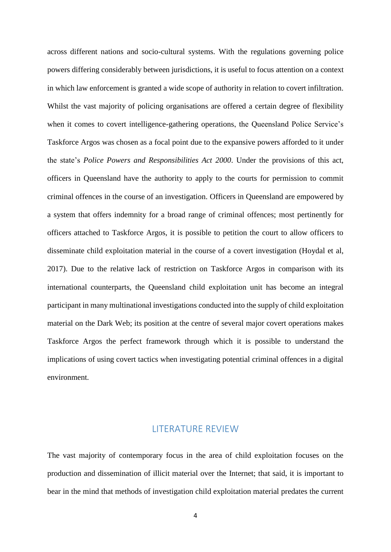across different nations and socio-cultural systems. With the regulations governing police powers differing considerably between jurisdictions, it is useful to focus attention on a context in which law enforcement is granted a wide scope of authority in relation to covert infiltration. Whilst the vast majority of policing organisations are offered a certain degree of flexibility when it comes to covert intelligence-gathering operations, the Queensland Police Service's Taskforce Argos was chosen as a focal point due to the expansive powers afforded to it under the state's *Police Powers and Responsibilities Act 2000*. Under the provisions of this act, officers in Queensland have the authority to apply to the courts for permission to commit criminal offences in the course of an investigation. Officers in Queensland are empowered by a system that offers indemnity for a broad range of criminal offences; most pertinently for officers attached to Taskforce Argos, it is possible to petition the court to allow officers to disseminate child exploitation material in the course of a covert investigation (Hoydal et al, 2017). Due to the relative lack of restriction on Taskforce Argos in comparison with its international counterparts, the Queensland child exploitation unit has become an integral participant in many multinational investigations conducted into the supply of child exploitation material on the Dark Web; its position at the centre of several major covert operations makes Taskforce Argos the perfect framework through which it is possible to understand the implications of using covert tactics when investigating potential criminal offences in a digital environment.

# LITERATURE REVIEW

The vast majority of contemporary focus in the area of child exploitation focuses on the production and dissemination of illicit material over the Internet; that said, it is important to bear in the mind that methods of investigation child exploitation material predates the current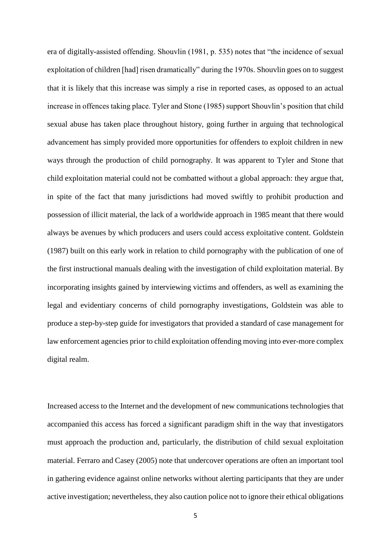era of digitally-assisted offending. Shouvlin (1981, p. 535) notes that "the incidence of sexual exploitation of children [had] risen dramatically" during the 1970s. Shouvlin goes on to suggest that it is likely that this increase was simply a rise in reported cases, as opposed to an actual increase in offences taking place. Tyler and Stone (1985) support Shouvlin's position that child sexual abuse has taken place throughout history, going further in arguing that technological advancement has simply provided more opportunities for offenders to exploit children in new ways through the production of child pornography. It was apparent to Tyler and Stone that child exploitation material could not be combatted without a global approach: they argue that, in spite of the fact that many jurisdictions had moved swiftly to prohibit production and possession of illicit material, the lack of a worldwide approach in 1985 meant that there would always be avenues by which producers and users could access exploitative content. Goldstein (1987) built on this early work in relation to child pornography with the publication of one of the first instructional manuals dealing with the investigation of child exploitation material. By incorporating insights gained by interviewing victims and offenders, as well as examining the legal and evidentiary concerns of child pornography investigations, Goldstein was able to produce a step-by-step guide for investigators that provided a standard of case management for law enforcement agencies prior to child exploitation offending moving into ever-more complex digital realm.

Increased access to the Internet and the development of new communications technologies that accompanied this access has forced a significant paradigm shift in the way that investigators must approach the production and, particularly, the distribution of child sexual exploitation material. Ferraro and Casey (2005) note that undercover operations are often an important tool in gathering evidence against online networks without alerting participants that they are under active investigation; nevertheless, they also caution police not to ignore their ethical obligations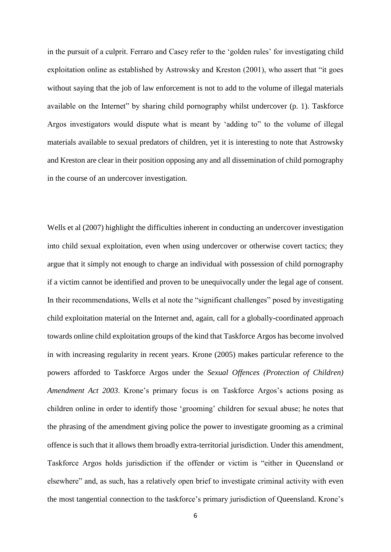in the pursuit of a culprit. Ferraro and Casey refer to the 'golden rules' for investigating child exploitation online as established by Astrowsky and Kreston (2001), who assert that "it goes without saying that the job of law enforcement is not to add to the volume of illegal materials available on the Internet" by sharing child pornography whilst undercover (p. 1). Taskforce Argos investigators would dispute what is meant by 'adding to" to the volume of illegal materials available to sexual predators of children, yet it is interesting to note that Astrowsky and Kreston are clear in their position opposing any and all dissemination of child pornography in the course of an undercover investigation.

Wells et al (2007) highlight the difficulties inherent in conducting an undercover investigation into child sexual exploitation, even when using undercover or otherwise covert tactics; they argue that it simply not enough to charge an individual with possession of child pornography if a victim cannot be identified and proven to be unequivocally under the legal age of consent. In their recommendations, Wells et al note the "significant challenges" posed by investigating child exploitation material on the Internet and, again, call for a globally-coordinated approach towards online child exploitation groups of the kind that Taskforce Argos has become involved in with increasing regularity in recent years. Krone (2005) makes particular reference to the powers afforded to Taskforce Argos under the *Sexual Offences (Protection of Children) Amendment Act 2003*. Krone's primary focus is on Taskforce Argos's actions posing as children online in order to identify those 'grooming' children for sexual abuse; he notes that the phrasing of the amendment giving police the power to investigate grooming as a criminal offence is such that it allows them broadly extra-territorial jurisdiction. Under this amendment, Taskforce Argos holds jurisdiction if the offender or victim is "either in Queensland or elsewhere" and, as such, has a relatively open brief to investigate criminal activity with even the most tangential connection to the taskforce's primary jurisdiction of Queensland. Krone's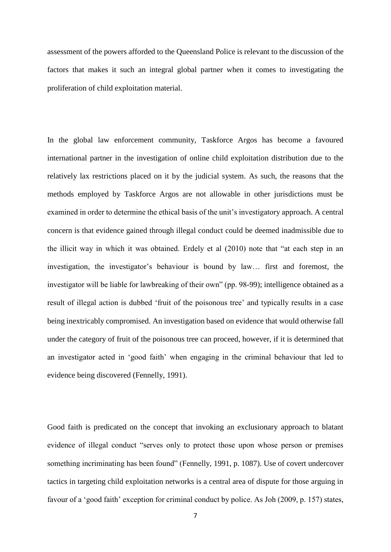assessment of the powers afforded to the Queensland Police is relevant to the discussion of the factors that makes it such an integral global partner when it comes to investigating the proliferation of child exploitation material.

In the global law enforcement community, Taskforce Argos has become a favoured international partner in the investigation of online child exploitation distribution due to the relatively lax restrictions placed on it by the judicial system. As such, the reasons that the methods employed by Taskforce Argos are not allowable in other jurisdictions must be examined in order to determine the ethical basis of the unit's investigatory approach. A central concern is that evidence gained through illegal conduct could be deemed inadmissible due to the illicit way in which it was obtained. Erdely et al (2010) note that "at each step in an investigation, the investigator's behaviour is bound by law… first and foremost, the investigator will be liable for lawbreaking of their own" (pp. 98-99); intelligence obtained as a result of illegal action is dubbed 'fruit of the poisonous tree' and typically results in a case being inextricably compromised. An investigation based on evidence that would otherwise fall under the category of fruit of the poisonous tree can proceed, however, if it is determined that an investigator acted in 'good faith' when engaging in the criminal behaviour that led to evidence being discovered (Fennelly, 1991).

Good faith is predicated on the concept that invoking an exclusionary approach to blatant evidence of illegal conduct "serves only to protect those upon whose person or premises something incriminating has been found" (Fennelly, 1991, p. 1087). Use of covert undercover tactics in targeting child exploitation networks is a central area of dispute for those arguing in favour of a 'good faith' exception for criminal conduct by police. As Joh (2009, p. 157) states,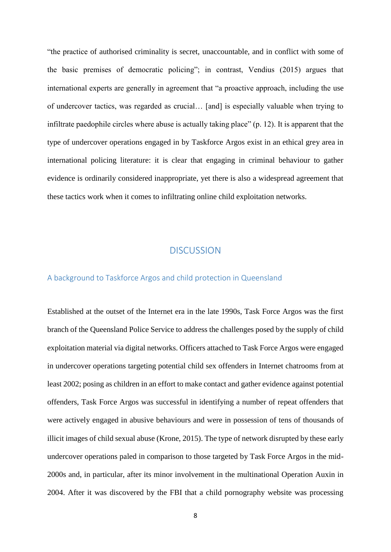"the practice of authorised criminality is secret, unaccountable, and in conflict with some of the basic premises of democratic policing"; in contrast, Vendius (2015) argues that international experts are generally in agreement that "a proactive approach, including the use of undercover tactics, was regarded as crucial… [and] is especially valuable when trying to infiltrate paedophile circles where abuse is actually taking place" (p. 12). It is apparent that the type of undercover operations engaged in by Taskforce Argos exist in an ethical grey area in international policing literature: it is clear that engaging in criminal behaviour to gather evidence is ordinarily considered inappropriate, yet there is also a widespread agreement that these tactics work when it comes to infiltrating online child exploitation networks.

#### DISCUSSION

#### A background to Taskforce Argos and child protection in Queensland

Established at the outset of the Internet era in the late 1990s, Task Force Argos was the first branch of the Queensland Police Service to address the challenges posed by the supply of child exploitation material via digital networks. Officers attached to Task Force Argos were engaged in undercover operations targeting potential child sex offenders in Internet chatrooms from at least 2002; posing as children in an effort to make contact and gather evidence against potential offenders, Task Force Argos was successful in identifying a number of repeat offenders that were actively engaged in abusive behaviours and were in possession of tens of thousands of illicit images of child sexual abuse (Krone, 2015). The type of network disrupted by these early undercover operations paled in comparison to those targeted by Task Force Argos in the mid-2000s and, in particular, after its minor involvement in the multinational Operation Auxin in 2004. After it was discovered by the FBI that a child pornography website was processing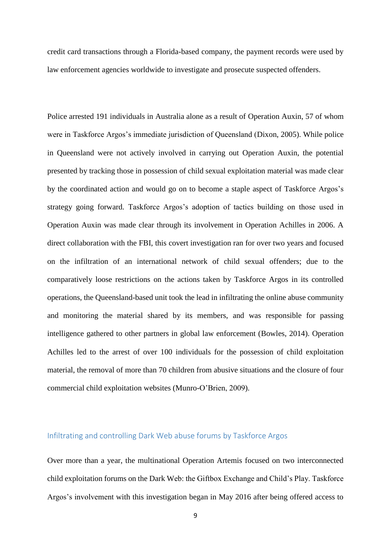credit card transactions through a Florida-based company, the payment records were used by law enforcement agencies worldwide to investigate and prosecute suspected offenders.

Police arrested 191 individuals in Australia alone as a result of Operation Auxin, 57 of whom were in Taskforce Argos's immediate jurisdiction of Queensland (Dixon, 2005). While police in Queensland were not actively involved in carrying out Operation Auxin, the potential presented by tracking those in possession of child sexual exploitation material was made clear by the coordinated action and would go on to become a staple aspect of Taskforce Argos's strategy going forward. Taskforce Argos's adoption of tactics building on those used in Operation Auxin was made clear through its involvement in Operation Achilles in 2006. A direct collaboration with the FBI, this covert investigation ran for over two years and focused on the infiltration of an international network of child sexual offenders; due to the comparatively loose restrictions on the actions taken by Taskforce Argos in its controlled operations, the Queensland-based unit took the lead in infiltrating the online abuse community and monitoring the material shared by its members, and was responsible for passing intelligence gathered to other partners in global law enforcement (Bowles, 2014). Operation Achilles led to the arrest of over 100 individuals for the possession of child exploitation material, the removal of more than 70 children from abusive situations and the closure of four commercial child exploitation websites (Munro-O'Brien, 2009).

#### Infiltrating and controlling Dark Web abuse forums by Taskforce Argos

Over more than a year, the multinational Operation Artemis focused on two interconnected child exploitation forums on the Dark Web: the Giftbox Exchange and Child's Play. Taskforce Argos's involvement with this investigation began in May 2016 after being offered access to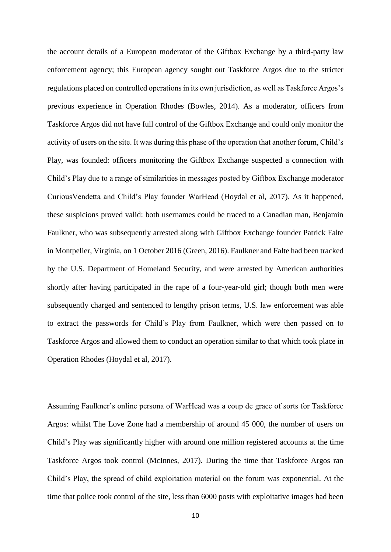the account details of a European moderator of the Giftbox Exchange by a third-party law enforcement agency; this European agency sought out Taskforce Argos due to the stricter regulations placed on controlled operations in its own jurisdiction, as well as Taskforce Argos's previous experience in Operation Rhodes (Bowles, 2014). As a moderator, officers from Taskforce Argos did not have full control of the Giftbox Exchange and could only monitor the activity of users on the site. It was during this phase of the operation that another forum, Child's Play, was founded: officers monitoring the Giftbox Exchange suspected a connection with Child's Play due to a range of similarities in messages posted by Giftbox Exchange moderator CuriousVendetta and Child's Play founder WarHead (Hoydal et al, 2017). As it happened, these suspicions proved valid: both usernames could be traced to a Canadian man, Benjamin Faulkner, who was subsequently arrested along with Giftbox Exchange founder Patrick Falte in Montpelier, Virginia, on 1 October 2016 (Green, 2016). Faulkner and Falte had been tracked by the U.S. Department of Homeland Security, and were arrested by American authorities shortly after having participated in the rape of a four-year-old girl; though both men were subsequently charged and sentenced to lengthy prison terms, U.S. law enforcement was able to extract the passwords for Child's Play from Faulkner, which were then passed on to Taskforce Argos and allowed them to conduct an operation similar to that which took place in Operation Rhodes (Hoydal et al, 2017).

Assuming Faulkner's online persona of WarHead was a coup de grace of sorts for Taskforce Argos: whilst The Love Zone had a membership of around 45 000, the number of users on Child's Play was significantly higher with around one million registered accounts at the time Taskforce Argos took control (McInnes, 2017). During the time that Taskforce Argos ran Child's Play, the spread of child exploitation material on the forum was exponential. At the time that police took control of the site, less than 6000 posts with exploitative images had been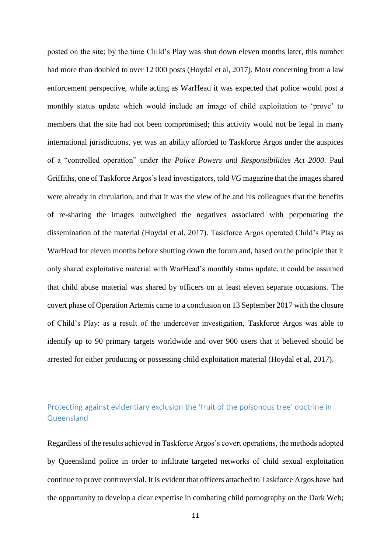posted on the site; by the time Child's Play was shut down eleven months later, this number had more than doubled to over 12 000 posts (Hoydal et al, 2017). Most concerning from a law enforcement perspective, while acting as WarHead it was expected that police would post a monthly status update which would include an image of child exploitation to 'prove' to members that the site had not been compromised; this activity would not be legal in many international jurisdictions, yet was an ability afforded to Taskforce Argos under the auspices of a "controlled operation" under the *Police Powers and Responsibilities Act 2000*. Paul Griffiths, one of Taskforce Argos's lead investigators, told *VG* magazine that the images shared were already in circulation, and that it was the view of he and his colleagues that the benefits of re-sharing the images outweighed the negatives associated with perpetuating the dissemination of the material (Hoydal et al, 2017). Taskforce Argos operated Child's Play as WarHead for eleven months before shutting down the forum and, based on the principle that it only shared exploitative material with WarHead's monthly status update, it could be assumed that child abuse material was shared by officers on at least eleven separate occasions. The covert phase of Operation Artemis came to a conclusion on 13 September 2017 with the closure of Child's Play: as a result of the undercover investigation, Taskforce Argos was able to identify up to 90 primary targets worldwide and over 900 users that it believed should be arrested for either producing or possessing child exploitation material (Hoydal et al, 2017).

# Protecting against evidentiary exclusion the 'fruit of the poisonous tree' doctrine in Queensland

Regardless of the results achieved in Taskforce Argos's covert operations, the methods adopted by Queensland police in order to infiltrate targeted networks of child sexual exploitation continue to prove controversial. It is evident that officers attached to Taskforce Argos have had the opportunity to develop a clear expertise in combating child pornography on the Dark Web;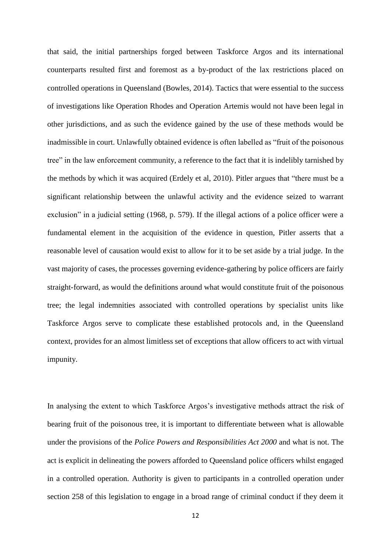that said, the initial partnerships forged between Taskforce Argos and its international counterparts resulted first and foremost as a by-product of the lax restrictions placed on controlled operations in Queensland (Bowles, 2014). Tactics that were essential to the success of investigations like Operation Rhodes and Operation Artemis would not have been legal in other jurisdictions, and as such the evidence gained by the use of these methods would be inadmissible in court. Unlawfully obtained evidence is often labelled as "fruit of the poisonous tree" in the law enforcement community, a reference to the fact that it is indelibly tarnished by the methods by which it was acquired (Erdely et al, 2010). Pitler argues that "there must be a significant relationship between the unlawful activity and the evidence seized to warrant exclusion" in a judicial setting (1968, p. 579). If the illegal actions of a police officer were a fundamental element in the acquisition of the evidence in question, Pitler asserts that a reasonable level of causation would exist to allow for it to be set aside by a trial judge. In the vast majority of cases, the processes governing evidence-gathering by police officers are fairly straight-forward, as would the definitions around what would constitute fruit of the poisonous tree; the legal indemnities associated with controlled operations by specialist units like Taskforce Argos serve to complicate these established protocols and, in the Queensland context, provides for an almost limitless set of exceptions that allow officers to act with virtual impunity.

In analysing the extent to which Taskforce Argos's investigative methods attract the risk of bearing fruit of the poisonous tree, it is important to differentiate between what is allowable under the provisions of the *Police Powers and Responsibilities Act 2000* and what is not. The act is explicit in delineating the powers afforded to Queensland police officers whilst engaged in a controlled operation. Authority is given to participants in a controlled operation under section 258 of this legislation to engage in a broad range of criminal conduct if they deem it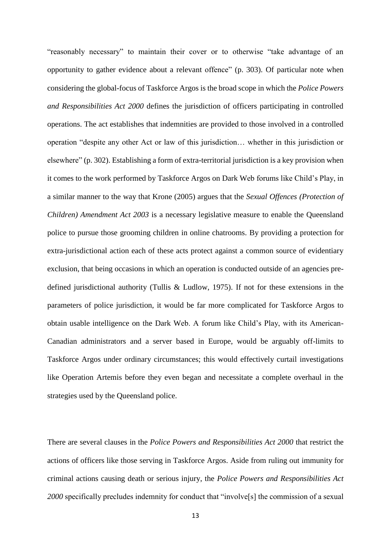"reasonably necessary" to maintain their cover or to otherwise "take advantage of an opportunity to gather evidence about a relevant offence" (p. 303). Of particular note when considering the global-focus of Taskforce Argos is the broad scope in which the *Police Powers and Responsibilities Act 2000* defines the jurisdiction of officers participating in controlled operations. The act establishes that indemnities are provided to those involved in a controlled operation "despite any other Act or law of this jurisdiction… whether in this jurisdiction or elsewhere" (p. 302). Establishing a form of extra-territorial jurisdiction is a key provision when it comes to the work performed by Taskforce Argos on Dark Web forums like Child's Play, in a similar manner to the way that Krone (2005) argues that the *Sexual Offences (Protection of Children) Amendment Act 2003* is a necessary legislative measure to enable the Queensland police to pursue those grooming children in online chatrooms. By providing a protection for extra-jurisdictional action each of these acts protect against a common source of evidentiary exclusion, that being occasions in which an operation is conducted outside of an agencies predefined jurisdictional authority (Tullis & Ludlow, 1975). If not for these extensions in the parameters of police jurisdiction, it would be far more complicated for Taskforce Argos to obtain usable intelligence on the Dark Web. A forum like Child's Play, with its American-Canadian administrators and a server based in Europe, would be arguably off-limits to Taskforce Argos under ordinary circumstances; this would effectively curtail investigations like Operation Artemis before they even began and necessitate a complete overhaul in the strategies used by the Queensland police.

There are several clauses in the *Police Powers and Responsibilities Act 2000* that restrict the actions of officers like those serving in Taskforce Argos. Aside from ruling out immunity for criminal actions causing death or serious injury, the *Police Powers and Responsibilities Act 2000* specifically precludes indemnity for conduct that "involve[s] the commission of a sexual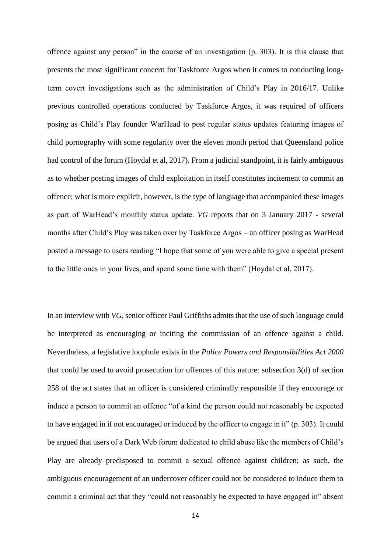offence against any person" in the course of an investigation (p. 303). It is this clause that presents the most significant concern for Taskforce Argos when it comes to conducting longterm covert investigations such as the administration of Child's Play in 2016/17. Unlike previous controlled operations conducted by Taskforce Argos, it was required of officers posing as Child's Play founder WarHead to post regular status updates featuring images of child pornography with some regularity over the eleven month period that Queensland police had control of the forum (Hoydal et al, 2017). From a judicial standpoint, it is fairly ambiguous as to whether posting images of child exploitation in itself constitutes incitement to commit an offence; what is more explicit, however, is the type of language that accompanied these images as part of WarHead's monthly status update. *VG* reports that on 3 January 2017 - several months after Child's Play was taken over by Taskforce Argos – an officer posing as WarHead posted a message to users reading "I hope that some of you were able to give a special present to the little ones in your lives, and spend some time with them" (Hoydal et al, 2017).

In an interview with *VG,* senior officer Paul Griffiths admits that the use of such language could be interpreted as encouraging or inciting the commission of an offence against a child. Nevertheless, a legislative loophole exists in the *Police Powers and Responsibilities Act 2000*  that could be used to avoid prosecution for offences of this nature: subsection 3(d) of section 258 of the act states that an officer is considered criminally responsible if they encourage or induce a person to commit an offence "of a kind the person could not reasonably be expected to have engaged in if not encouraged or induced by the officer to engage in it" (p. 303). It could be argued that users of a Dark Web forum dedicated to child abuse like the members of Child's Play are already predisposed to commit a sexual offence against children; as such, the ambiguous encouragement of an undercover officer could not be considered to induce them to commit a criminal act that they "could not reasonably be expected to have engaged in" absent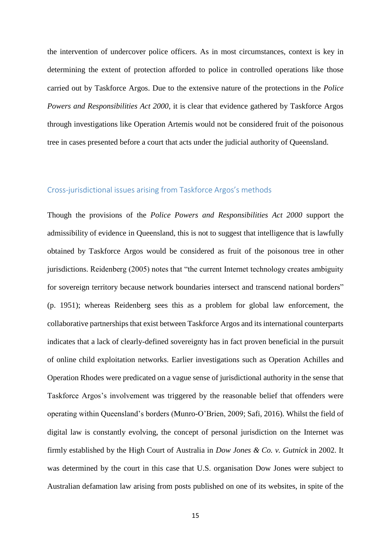the intervention of undercover police officers. As in most circumstances, context is key in determining the extent of protection afforded to police in controlled operations like those carried out by Taskforce Argos. Due to the extensive nature of the protections in the *Police Powers and Responsibilities Act 2000*, it is clear that evidence gathered by Taskforce Argos through investigations like Operation Artemis would not be considered fruit of the poisonous tree in cases presented before a court that acts under the judicial authority of Queensland.

#### Cross-jurisdictional issues arising from Taskforce Argos's methods

Though the provisions of the *Police Powers and Responsibilities Act 2000* support the admissibility of evidence in Queensland, this is not to suggest that intelligence that is lawfully obtained by Taskforce Argos would be considered as fruit of the poisonous tree in other jurisdictions. Reidenberg (2005) notes that "the current Internet technology creates ambiguity for sovereign territory because network boundaries intersect and transcend national borders" (p. 1951); whereas Reidenberg sees this as a problem for global law enforcement, the collaborative partnerships that exist between Taskforce Argos and its international counterparts indicates that a lack of clearly-defined sovereignty has in fact proven beneficial in the pursuit of online child exploitation networks. Earlier investigations such as Operation Achilles and Operation Rhodes were predicated on a vague sense of jurisdictional authority in the sense that Taskforce Argos's involvement was triggered by the reasonable belief that offenders were operating within Queensland's borders (Munro-O'Brien, 2009; Safi, 2016). Whilst the field of digital law is constantly evolving, the concept of personal jurisdiction on the Internet was firmly established by the High Court of Australia in *Dow Jones & Co. v. Gutnick* in 2002. It was determined by the court in this case that U.S. organisation Dow Jones were subject to Australian defamation law arising from posts published on one of its websites, in spite of the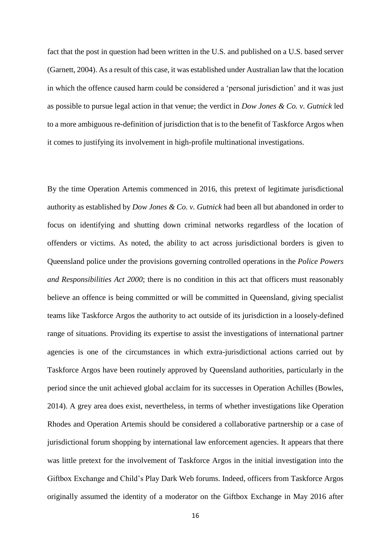fact that the post in question had been written in the U.S. and published on a U.S. based server (Garnett, 2004). As a result of this case, it was established under Australian law that the location in which the offence caused harm could be considered a 'personal jurisdiction' and it was just as possible to pursue legal action in that venue; the verdict in *Dow Jones & Co. v. Gutnick* led to a more ambiguous re-definition of jurisdiction that is to the benefit of Taskforce Argos when it comes to justifying its involvement in high-profile multinational investigations.

By the time Operation Artemis commenced in 2016, this pretext of legitimate jurisdictional authority as established by *Dow Jones & Co. v. Gutnick* had been all but abandoned in order to focus on identifying and shutting down criminal networks regardless of the location of offenders or victims. As noted, the ability to act across jurisdictional borders is given to Queensland police under the provisions governing controlled operations in the *Police Powers and Responsibilities Act 2000*; there is no condition in this act that officers must reasonably believe an offence is being committed or will be committed in Queensland, giving specialist teams like Taskforce Argos the authority to act outside of its jurisdiction in a loosely-defined range of situations. Providing its expertise to assist the investigations of international partner agencies is one of the circumstances in which extra-jurisdictional actions carried out by Taskforce Argos have been routinely approved by Queensland authorities, particularly in the period since the unit achieved global acclaim for its successes in Operation Achilles (Bowles, 2014). A grey area does exist, nevertheless, in terms of whether investigations like Operation Rhodes and Operation Artemis should be considered a collaborative partnership or a case of jurisdictional forum shopping by international law enforcement agencies. It appears that there was little pretext for the involvement of Taskforce Argos in the initial investigation into the Giftbox Exchange and Child's Play Dark Web forums. Indeed, officers from Taskforce Argos originally assumed the identity of a moderator on the Giftbox Exchange in May 2016 after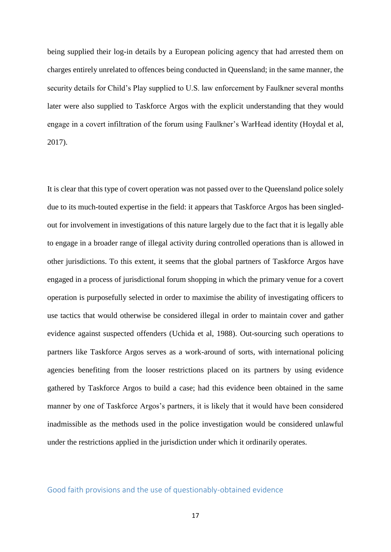being supplied their log-in details by a European policing agency that had arrested them on charges entirely unrelated to offences being conducted in Queensland; in the same manner, the security details for Child's Play supplied to U.S. law enforcement by Faulkner several months later were also supplied to Taskforce Argos with the explicit understanding that they would engage in a covert infiltration of the forum using Faulkner's WarHead identity (Hoydal et al, 2017).

It is clear that this type of covert operation was not passed over to the Queensland police solely due to its much-touted expertise in the field: it appears that Taskforce Argos has been singledout for involvement in investigations of this nature largely due to the fact that it is legally able to engage in a broader range of illegal activity during controlled operations than is allowed in other jurisdictions. To this extent, it seems that the global partners of Taskforce Argos have engaged in a process of jurisdictional forum shopping in which the primary venue for a covert operation is purposefully selected in order to maximise the ability of investigating officers to use tactics that would otherwise be considered illegal in order to maintain cover and gather evidence against suspected offenders (Uchida et al, 1988). Out-sourcing such operations to partners like Taskforce Argos serves as a work-around of sorts, with international policing agencies benefiting from the looser restrictions placed on its partners by using evidence gathered by Taskforce Argos to build a case; had this evidence been obtained in the same manner by one of Taskforce Argos's partners, it is likely that it would have been considered inadmissible as the methods used in the police investigation would be considered unlawful under the restrictions applied in the jurisdiction under which it ordinarily operates.

#### Good faith provisions and the use of questionably-obtained evidence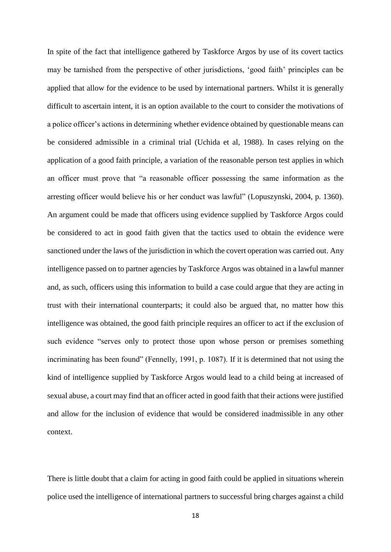In spite of the fact that intelligence gathered by Taskforce Argos by use of its covert tactics may be tarnished from the perspective of other jurisdictions, 'good faith' principles can be applied that allow for the evidence to be used by international partners. Whilst it is generally difficult to ascertain intent, it is an option available to the court to consider the motivations of a police officer's actions in determining whether evidence obtained by questionable means can be considered admissible in a criminal trial (Uchida et al, 1988). In cases relying on the application of a good faith principle, a variation of the reasonable person test applies in which an officer must prove that "a reasonable officer possessing the same information as the arresting officer would believe his or her conduct was lawful" (Lopuszynski, 2004, p. 1360). An argument could be made that officers using evidence supplied by Taskforce Argos could be considered to act in good faith given that the tactics used to obtain the evidence were sanctioned under the laws of the jurisdiction in which the covert operation was carried out. Any intelligence passed on to partner agencies by Taskforce Argos was obtained in a lawful manner and, as such, officers using this information to build a case could argue that they are acting in trust with their international counterparts; it could also be argued that, no matter how this intelligence was obtained, the good faith principle requires an officer to act if the exclusion of such evidence "serves only to protect those upon whose person or premises something incriminating has been found" (Fennelly, 1991, p. 1087). If it is determined that not using the kind of intelligence supplied by Taskforce Argos would lead to a child being at increased of sexual abuse, a court may find that an officer acted in good faith that their actions were justified and allow for the inclusion of evidence that would be considered inadmissible in any other context.

There is little doubt that a claim for acting in good faith could be applied in situations wherein police used the intelligence of international partners to successful bring charges against a child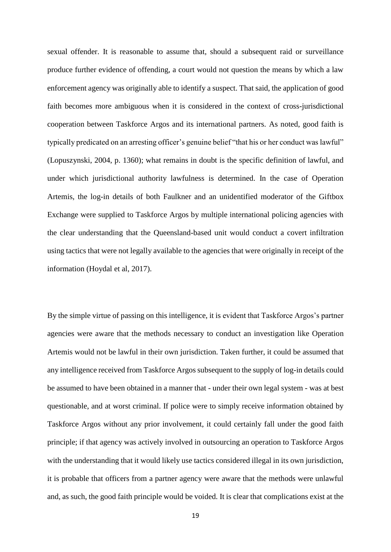sexual offender. It is reasonable to assume that, should a subsequent raid or surveillance produce further evidence of offending, a court would not question the means by which a law enforcement agency was originally able to identify a suspect. That said, the application of good faith becomes more ambiguous when it is considered in the context of cross-jurisdictional cooperation between Taskforce Argos and its international partners. As noted, good faith is typically predicated on an arresting officer's genuine belief "that his or her conduct was lawful" (Lopuszynski, 2004, p. 1360); what remains in doubt is the specific definition of lawful, and under which jurisdictional authority lawfulness is determined. In the case of Operation Artemis, the log-in details of both Faulkner and an unidentified moderator of the Giftbox Exchange were supplied to Taskforce Argos by multiple international policing agencies with the clear understanding that the Queensland-based unit would conduct a covert infiltration using tactics that were not legally available to the agencies that were originally in receipt of the information (Hoydal et al, 2017).

By the simple virtue of passing on this intelligence, it is evident that Taskforce Argos's partner agencies were aware that the methods necessary to conduct an investigation like Operation Artemis would not be lawful in their own jurisdiction. Taken further, it could be assumed that any intelligence received from Taskforce Argos subsequent to the supply of log-in details could be assumed to have been obtained in a manner that - under their own legal system - was at best questionable, and at worst criminal. If police were to simply receive information obtained by Taskforce Argos without any prior involvement, it could certainly fall under the good faith principle; if that agency was actively involved in outsourcing an operation to Taskforce Argos with the understanding that it would likely use tactics considered illegal in its own jurisdiction, it is probable that officers from a partner agency were aware that the methods were unlawful and, as such, the good faith principle would be voided. It is clear that complications exist at the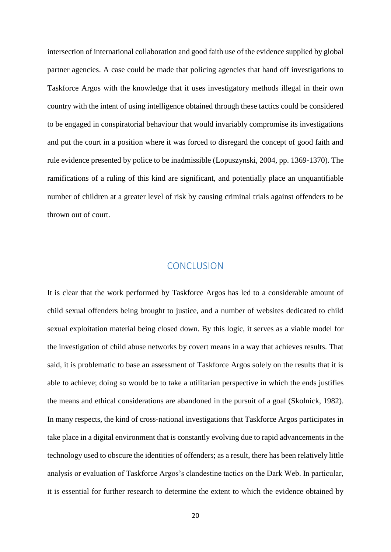intersection of international collaboration and good faith use of the evidence supplied by global partner agencies. A case could be made that policing agencies that hand off investigations to Taskforce Argos with the knowledge that it uses investigatory methods illegal in their own country with the intent of using intelligence obtained through these tactics could be considered to be engaged in conspiratorial behaviour that would invariably compromise its investigations and put the court in a position where it was forced to disregard the concept of good faith and rule evidence presented by police to be inadmissible (Lopuszynski, 2004, pp. 1369-1370). The ramifications of a ruling of this kind are significant, and potentially place an unquantifiable number of children at a greater level of risk by causing criminal trials against offenders to be thrown out of court.

# **CONCLUSION**

It is clear that the work performed by Taskforce Argos has led to a considerable amount of child sexual offenders being brought to justice, and a number of websites dedicated to child sexual exploitation material being closed down. By this logic, it serves as a viable model for the investigation of child abuse networks by covert means in a way that achieves results. That said, it is problematic to base an assessment of Taskforce Argos solely on the results that it is able to achieve; doing so would be to take a utilitarian perspective in which the ends justifies the means and ethical considerations are abandoned in the pursuit of a goal (Skolnick, 1982). In many respects, the kind of cross-national investigations that Taskforce Argos participates in take place in a digital environment that is constantly evolving due to rapid advancements in the technology used to obscure the identities of offenders; as a result, there has been relatively little analysis or evaluation of Taskforce Argos's clandestine tactics on the Dark Web. In particular, it is essential for further research to determine the extent to which the evidence obtained by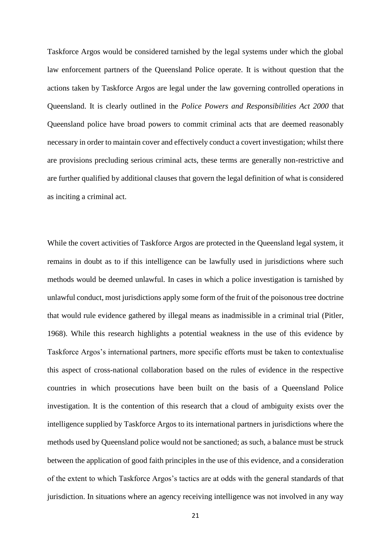Taskforce Argos would be considered tarnished by the legal systems under which the global law enforcement partners of the Queensland Police operate. It is without question that the actions taken by Taskforce Argos are legal under the law governing controlled operations in Queensland. It is clearly outlined in the *Police Powers and Responsibilities Act 2000* that Queensland police have broad powers to commit criminal acts that are deemed reasonably necessary in order to maintain cover and effectively conduct a covert investigation; whilst there are provisions precluding serious criminal acts, these terms are generally non-restrictive and are further qualified by additional clauses that govern the legal definition of what is considered as inciting a criminal act.

While the covert activities of Taskforce Argos are protected in the Queensland legal system, it remains in doubt as to if this intelligence can be lawfully used in jurisdictions where such methods would be deemed unlawful. In cases in which a police investigation is tarnished by unlawful conduct, most jurisdictions apply some form of the fruit of the poisonous tree doctrine that would rule evidence gathered by illegal means as inadmissible in a criminal trial (Pitler, 1968). While this research highlights a potential weakness in the use of this evidence by Taskforce Argos's international partners, more specific efforts must be taken to contextualise this aspect of cross-national collaboration based on the rules of evidence in the respective countries in which prosecutions have been built on the basis of a Queensland Police investigation. It is the contention of this research that a cloud of ambiguity exists over the intelligence supplied by Taskforce Argos to its international partners in jurisdictions where the methods used by Queensland police would not be sanctioned; as such, a balance must be struck between the application of good faith principles in the use of this evidence, and a consideration of the extent to which Taskforce Argos's tactics are at odds with the general standards of that jurisdiction. In situations where an agency receiving intelligence was not involved in any way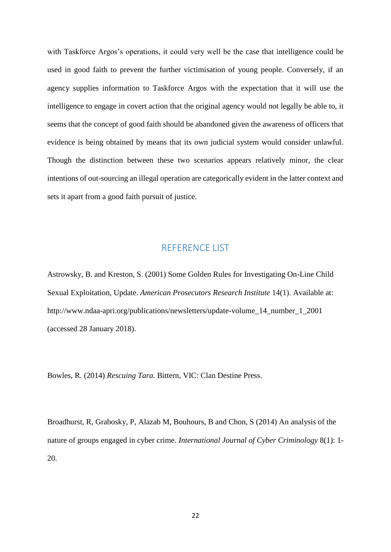with Taskforce Argos's operations, it could very well be the case that intelligence could be used in good faith to prevent the further victimisation of young people. Conversely, if an agency supplies information to Taskforce Argos with the expectation that it will use the intelligence to engage in covert action that the original agency would not legally be able to, it seems that the concept of good faith should be abandoned given the awareness of officers that evidence is being obtained by means that its own judicial system would consider unlawful. Though the distinction between these two scenarios appears relatively minor, the clear intentions of out-sourcing an illegal operation are categorically evident in the latter context and sets it apart from a good faith pursuit of justice.

# REFERENCE LIST

Astrowsky, B. and Kreston, S. (2001) Some Golden Rules for Investigating On-Line Child Sexual Exploitation, Update. *American Prosecutors Research Institute* 14(1). Available at: http://www.ndaa-apri.org/publications/newsletters/update-volume\_14\_number\_1\_2001 (accessed 28 January 2018).

Bowles, R. (2014) *Rescuing Tara.* Bittern, VIC: Clan Destine Press.

Broadhurst, R, Grabosky, P, Alazab M, Bouhours, B and Chon, S (2014) An analysis of the nature of groups engaged in cyber crime. *International Journal of Cyber Criminology* 8(1): 1- 20.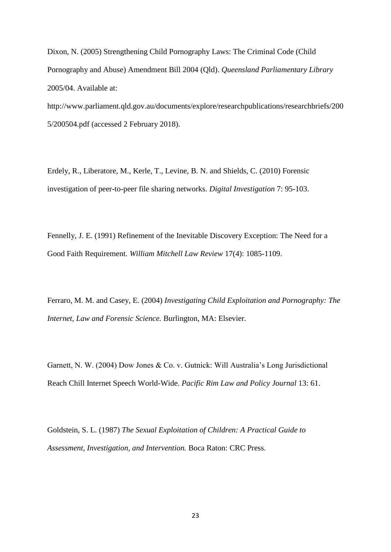Dixon, N. (2005) Strengthening Child Pornography Laws: The Criminal Code (Child Pornography and Abuse) Amendment Bill 2004 (Qld). *Queensland Parliamentary Library*  2005/04. Available at:

http://www.parliament.qld.gov.au/documents/explore/researchpublications/researchbriefs/200 5/200504.pdf (accessed 2 February 2018).

Erdely, R., Liberatore, M., Kerle, T., Levine, B. N. and Shields, C. (2010) Forensic investigation of peer-to-peer file sharing networks. *Digital Investigation* 7: 95-103.

Fennelly, J. E. (1991) Refinement of the Inevitable Discovery Exception: The Need for a Good Faith Requirement. *William Mitchell Law Review* 17(4): 1085-1109.

Ferraro, M. M. and Casey, E. (2004) *Investigating Child Exploitation and Pornography: The Internet, Law and Forensic Science.* Burlington, MA: Elsevier.

Garnett, N. W. (2004) Dow Jones & Co. v. Gutnick: Will Australia's Long Jurisdictional Reach Chill Internet Speech World-Wide. *Pacific Rim Law and Policy Journal* 13: 61.

Goldstein, S. L. (1987) *The Sexual Exploitation of Children: A Practical Guide to Assessment, Investigation, and Intervention.* Boca Raton: CRC Press.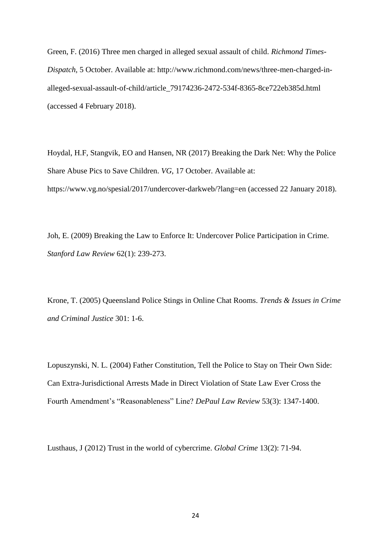Green, F. (2016) Three men charged in alleged sexual assault of child. *Richmond Times-Dispatch,* 5 October. Available at: http://www.richmond.com/news/three-men-charged-inalleged-sexual-assault-of-child/article\_79174236-2472-534f-8365-8ce722eb385d.html (accessed 4 February 2018).

Hoydal, H.F, Stangvik, EO and Hansen, NR (2017) Breaking the Dark Net: Why the Police Share Abuse Pics to Save Children. *VG*, 17 October. Available at: https://www.vg.no/spesial/2017/undercover-darkweb/?lang=en (accessed 22 January 2018).

Joh, E. (2009) Breaking the Law to Enforce It: Undercover Police Participation in Crime. *Stanford Law Review* 62(1): 239-273.

Krone, T. (2005) Queensland Police Stings in Online Chat Rooms. *Trends & Issues in Crime and Criminal Justice* 301: 1-6.

Lopuszynski, N. L. (2004) Father Constitution, Tell the Police to Stay on Their Own Side: Can Extra-Jurisdictional Arrests Made in Direct Violation of State Law Ever Cross the Fourth Amendment's "Reasonableness" Line? *DePaul Law Review* 53(3): 1347-1400.

Lusthaus, J (2012) Trust in the world of cybercrime. *Global Crime* 13(2): 71-94.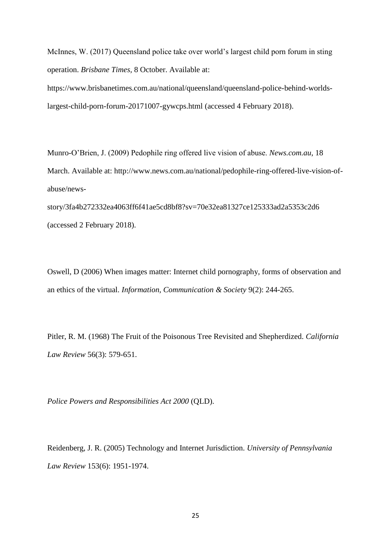McInnes, W. (2017) Queensland police take over world's largest child porn forum in sting operation. *Brisbane Times,* 8 October. Available at:

https://www.brisbanetimes.com.au/national/queensland/queensland-police-behind-worldslargest-child-porn-forum-20171007-gywcps.html (accessed 4 February 2018).

Munro-O'Brien, J. (2009) Pedophile ring offered live vision of abuse. *News.com.au*, 18 March. Available at: http://www.news.com.au/national/pedophile-ring-offered-live-vision-ofabuse/news-

story/3fa4b272332ea4063ff6f41ae5cd8bf8?sv=70e32ea81327ce125333ad2a5353c2d6 (accessed 2 February 2018).

Oswell, D (2006) When images matter: Internet child pornography, forms of observation and an ethics of the virtual. *Information, Communication & Society* 9(2): 244-265.

Pitler, R. M. (1968) The Fruit of the Poisonous Tree Revisited and Shepherdized. *California Law Review* 56(3): 579-651.

*Police Powers and Responsibilities Act 2000* (QLD).

Reidenberg, J. R. (2005) Technology and Internet Jurisdiction. *University of Pennsylvania Law Review* 153(6): 1951-1974.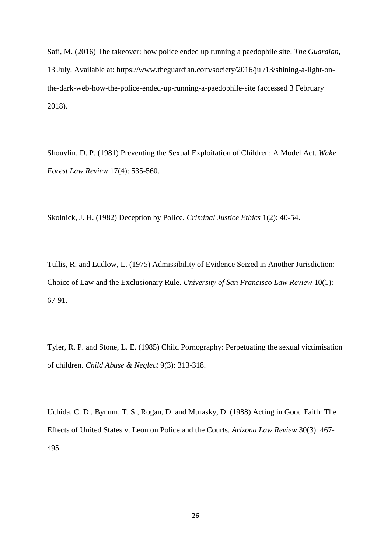Safi, M. (2016) The takeover: how police ended up running a paedophile site. *The Guardian,*  13 July. Available at: https://www.theguardian.com/society/2016/jul/13/shining-a-light-onthe-dark-web-how-the-police-ended-up-running-a-paedophile-site (accessed 3 February 2018).

Shouvlin, D. P. (1981) Preventing the Sexual Exploitation of Children: A Model Act. *Wake Forest Law Review* 17(4): 535-560.

Skolnick, J. H. (1982) Deception by Police. *Criminal Justice Ethics* 1(2): 40-54.

Tullis, R. and Ludlow, L. (1975) Admissibility of Evidence Seized in Another Jurisdiction: Choice of Law and the Exclusionary Rule. *University of San Francisco Law Review* 10(1): 67-91.

Tyler, R. P. and Stone, L. E. (1985) Child Pornography: Perpetuating the sexual victimisation of children. *Child Abuse & Neglect* 9(3): 313-318.

Uchida, C. D., Bynum, T. S., Rogan, D. and Murasky, D. (1988) Acting in Good Faith: The Effects of United States v. Leon on Police and the Courts. *Arizona Law Review* 30(3): 467- 495.